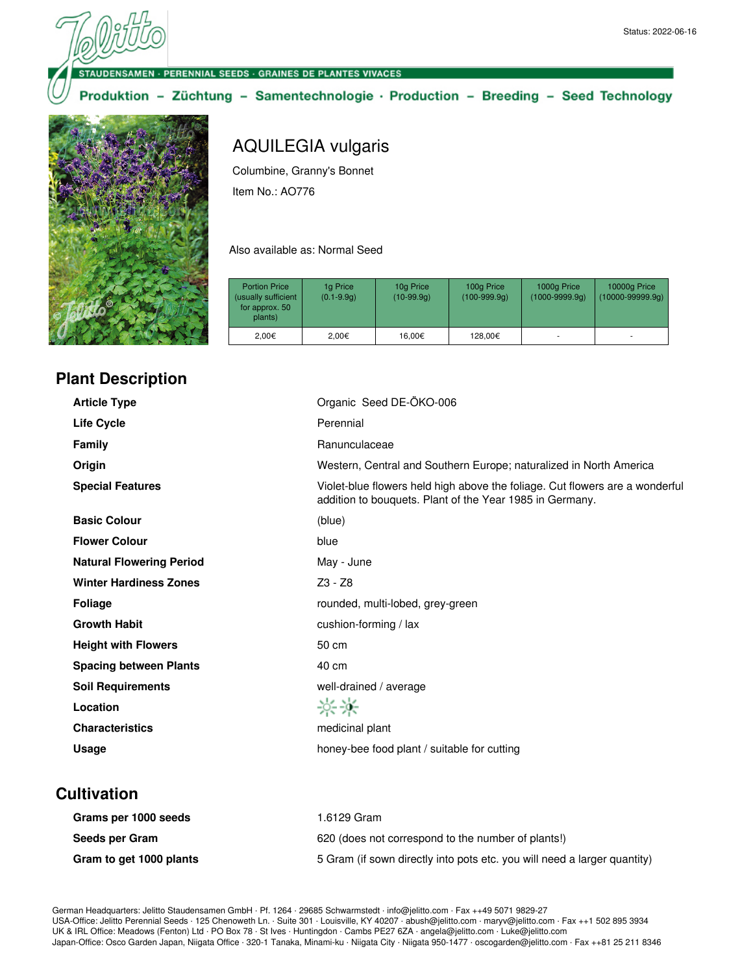**DENSAMEN · PERENNIAL SEEDS · GRAINES DE PLANTES VIVACES** 

#### Produktion - Züchtung - Samentechnologie · Production - Breeding - Seed Technology



# AQUILEGIA vulgaris

Columbine, Granny's Bonnet Item No.: AO776

Also available as: Normal Seed

| <b>Portion Price</b><br>(usually sufficient<br>for approx. 50<br>plants) | 1g Price<br>$(0.1 - 9.9q)$ | 10g Price<br>$(10-99.9q)$ | 100g Price<br>$(100-999.9q)$ | 1000g Price<br>$(1000 - 9999.9q)$ | 10000g Price<br>$(10000 - 99999.9q)$ |
|--------------------------------------------------------------------------|----------------------------|---------------------------|------------------------------|-----------------------------------|--------------------------------------|
| 2.00€                                                                    | 2.00€                      | 16.00€                    | 128,00€                      |                                   |                                      |

## **Plant Description**

| <b>Article Type</b>             | Organic Seed DE-ÖKO-006                                                                                                                  |
|---------------------------------|------------------------------------------------------------------------------------------------------------------------------------------|
| <b>Life Cycle</b>               | Perennial                                                                                                                                |
| <b>Family</b>                   | Ranunculaceae                                                                                                                            |
| Origin                          | Western, Central and Southern Europe; naturalized in North America                                                                       |
| <b>Special Features</b>         | Violet-blue flowers held high above the foliage. Cut flowers are a wonderful<br>addition to bouquets. Plant of the Year 1985 in Germany. |
| <b>Basic Colour</b>             | (blue)                                                                                                                                   |
| <b>Flower Colour</b>            | blue                                                                                                                                     |
| <b>Natural Flowering Period</b> | May - June                                                                                                                               |
| <b>Winter Hardiness Zones</b>   | Z3 - Z8                                                                                                                                  |
| <b>Foliage</b>                  | rounded, multi-lobed, grey-green                                                                                                         |
| <b>Growth Habit</b>             | cushion-forming / lax                                                                                                                    |
| <b>Height with Flowers</b>      | 50 cm                                                                                                                                    |
| <b>Spacing between Plants</b>   | 40 cm                                                                                                                                    |
| <b>Soil Requirements</b>        | well-drained / average                                                                                                                   |
| Location                        | 兴兴                                                                                                                                       |
| <b>Characteristics</b>          | medicinal plant                                                                                                                          |
| Usage                           | honey-bee food plant / suitable for cutting                                                                                              |

#### **Cultivation**

| Grams per 1000 seeds    | 1.6129 Gram                                                              |
|-------------------------|--------------------------------------------------------------------------|
| Seeds per Gram          | 620 (does not correspond to the number of plants!)                       |
| Gram to get 1000 plants | 5 Gram (if sown directly into pots etc. you will need a larger quantity) |